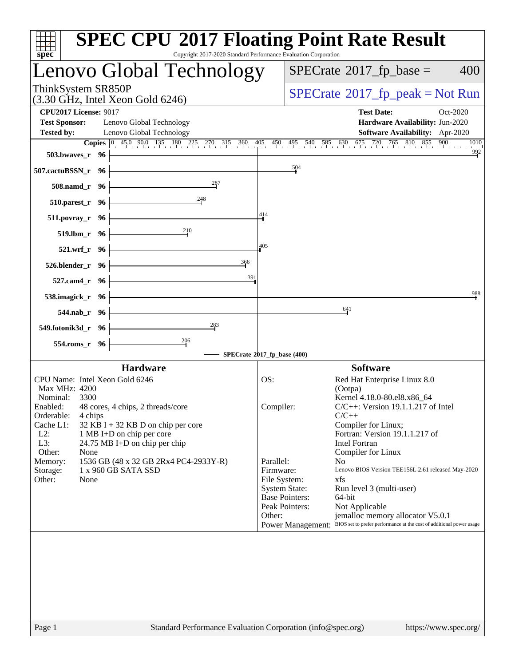| $spec^*$                                                                                                                                                                                                                                                                                                                                                                                                | <b>SPEC CPU®2017 Floating Point Rate Result</b><br>Copyright 2017-2020 Standard Performance Evaluation Corporation                                                                                                                                                                                                                                                                                                                                                                                                                                                                                                                                |
|---------------------------------------------------------------------------------------------------------------------------------------------------------------------------------------------------------------------------------------------------------------------------------------------------------------------------------------------------------------------------------------------------------|---------------------------------------------------------------------------------------------------------------------------------------------------------------------------------------------------------------------------------------------------------------------------------------------------------------------------------------------------------------------------------------------------------------------------------------------------------------------------------------------------------------------------------------------------------------------------------------------------------------------------------------------------|
| Lenovo Global Technology                                                                                                                                                                                                                                                                                                                                                                                | $SPECrate^{\circledast}2017$ _fp_base =<br>400                                                                                                                                                                                                                                                                                                                                                                                                                                                                                                                                                                                                    |
| ThinkSystem SR850P<br>$(3.30 \text{ GHz}, \text{Intel Xeon Gold } 6246)$                                                                                                                                                                                                                                                                                                                                | $SPECrate^{\circ}2017rfp peak = Not Run$                                                                                                                                                                                                                                                                                                                                                                                                                                                                                                                                                                                                          |
| <b>CPU2017 License: 9017</b><br><b>Test Sponsor:</b><br>Lenovo Global Technology<br><b>Tested by:</b><br>Lenovo Global Technology                                                                                                                                                                                                                                                                       | <b>Test Date:</b><br>Oct-2020<br>Hardware Availability: Jun-2020<br>Software Availability: Apr-2020<br><b>Copies</b> $\begin{bmatrix} 0 & 45 & 90 & 135 & 180 & 225 & 270 & 315 & 360 & 405 & 450 & 495 & 540 & 585 & 630 & 675 & 720 & 765 & 810 & 855 & 900 \end{bmatrix}$<br>1010                                                                                                                                                                                                                                                                                                                                                              |
| 503.bwaves_r 96                                                                                                                                                                                                                                                                                                                                                                                         | $\frac{992}{2}$                                                                                                                                                                                                                                                                                                                                                                                                                                                                                                                                                                                                                                   |
| 507.cactuBSSN_r 96                                                                                                                                                                                                                                                                                                                                                                                      | 504                                                                                                                                                                                                                                                                                                                                                                                                                                                                                                                                                                                                                                               |
| $508$ .namd_r 96                                                                                                                                                                                                                                                                                                                                                                                        |                                                                                                                                                                                                                                                                                                                                                                                                                                                                                                                                                                                                                                                   |
| 248<br>$510.parest_r$ 96                                                                                                                                                                                                                                                                                                                                                                                | 414                                                                                                                                                                                                                                                                                                                                                                                                                                                                                                                                                                                                                                               |
| 511.povray_r 96<br>210                                                                                                                                                                                                                                                                                                                                                                                  |                                                                                                                                                                                                                                                                                                                                                                                                                                                                                                                                                                                                                                                   |
| $519.lbm_r$ 96                                                                                                                                                                                                                                                                                                                                                                                          | 405                                                                                                                                                                                                                                                                                                                                                                                                                                                                                                                                                                                                                                               |
| $521.wrf_r$ 96<br>366<br>$526.$ blender_r 96 $\vdash$                                                                                                                                                                                                                                                                                                                                                   |                                                                                                                                                                                                                                                                                                                                                                                                                                                                                                                                                                                                                                                   |
| 527.cam4_r 96 $\vert$                                                                                                                                                                                                                                                                                                                                                                                   | 391                                                                                                                                                                                                                                                                                                                                                                                                                                                                                                                                                                                                                                               |
| 538.imagick_r $96$                                                                                                                                                                                                                                                                                                                                                                                      | 988                                                                                                                                                                                                                                                                                                                                                                                                                                                                                                                                                                                                                                               |
| <u> 1980 - Johann Barbara, martxa a</u><br>544.nab_r 96                                                                                                                                                                                                                                                                                                                                                 | 641                                                                                                                                                                                                                                                                                                                                                                                                                                                                                                                                                                                                                                               |
| $\frac{283}{1}$<br>549.fotonik3d_r 96                                                                                                                                                                                                                                                                                                                                                                   |                                                                                                                                                                                                                                                                                                                                                                                                                                                                                                                                                                                                                                                   |
| $\frac{206}{ }$<br>$554$ .roms_r 96                                                                                                                                                                                                                                                                                                                                                                     |                                                                                                                                                                                                                                                                                                                                                                                                                                                                                                                                                                                                                                                   |
| <b>Hardware</b>                                                                                                                                                                                                                                                                                                                                                                                         | SPECrate®2017_fp_base (400)<br><b>Software</b>                                                                                                                                                                                                                                                                                                                                                                                                                                                                                                                                                                                                    |
| CPU Name: Intel Xeon Gold 6246<br>Max MHz: 4200<br>Nominal:<br>3300<br>Enabled: 48 cores, 4 chips, 2 threads/core<br>Orderable:<br>4 chips<br>Cache L1:<br>32 KB I + 32 KB D on chip per core<br>$L2$ :<br>1 MB I+D on chip per core<br>L3:<br>24.75 MB I+D on chip per chip<br>Other:<br>None<br>1536 GB (48 x 32 GB 2Rx4 PC4-2933Y-R)<br>Memory:<br>1 x 960 GB SATA SSD<br>Storage:<br>Other:<br>None | OS:<br>Red Hat Enterprise Linux 8.0<br>(Ootpa)<br>Kernel 4.18.0-80.el8.x86_64<br>$C/C++$ : Version 19.1.1.217 of Intel<br>Compiler:<br>$C/C++$<br>Compiler for Linux;<br>Fortran: Version 19.1.1.217 of<br><b>Intel Fortran</b><br>Compiler for Linux<br>Parallel:<br>N <sub>0</sub><br>Firmware:<br>Lenovo BIOS Version TEE156L 2.61 released May-2020<br>File System:<br>xfs<br><b>System State:</b><br>Run level 3 (multi-user)<br><b>Base Pointers:</b><br>64-bit<br>Peak Pointers:<br>Not Applicable<br>Other:<br>jemalloc memory allocator V5.0.1<br>Power Management: BIOS set to prefer performance at the cost of additional power usage |
| Page 1                                                                                                                                                                                                                                                                                                                                                                                                  | Standard Performance Evaluation Corporation (info@spec.org)<br>https://www.spec.org/                                                                                                                                                                                                                                                                                                                                                                                                                                                                                                                                                              |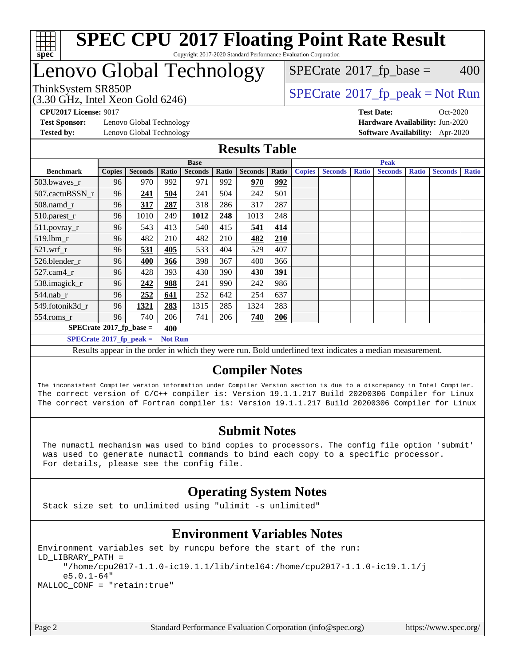

Copyright 2017-2020 Standard Performance Evaluation Corporation

### Lenovo Global Technology

(3.30 GHz, Intel Xeon Gold 6246)

ThinkSystem SR850P<br>  $\begin{array}{c}\n\text{72.30 GHz} \quad \text{Total} \quad \text{Spectr} \\
\text{SPECTate} \quad \text{2017\_fp\_peak} = \text{Not Run} \\
\end{array}$  $SPECTate$ <sup>®</sup>[2017\\_fp\\_base =](http://www.spec.org/auto/cpu2017/Docs/result-fields.html#SPECrate2017fpbase) 400

**[Test Sponsor:](http://www.spec.org/auto/cpu2017/Docs/result-fields.html#TestSponsor)** Lenovo Global Technology **[Hardware Availability:](http://www.spec.org/auto/cpu2017/Docs/result-fields.html#HardwareAvailability)** Jun-2020 **[Tested by:](http://www.spec.org/auto/cpu2017/Docs/result-fields.html#Testedby)** Lenovo Global Technology **[Software Availability:](http://www.spec.org/auto/cpu2017/Docs/result-fields.html#SoftwareAvailability)** Apr-2020

**[CPU2017 License:](http://www.spec.org/auto/cpu2017/Docs/result-fields.html#CPU2017License)** 9017 **[Test Date:](http://www.spec.org/auto/cpu2017/Docs/result-fields.html#TestDate)** Oct-2020

#### **[Results Table](http://www.spec.org/auto/cpu2017/Docs/result-fields.html#ResultsTable)**

|                                                                                                                                                                                                                                                                                                                                                                                                            | <b>Base</b>   |                |       |                | <b>Peak</b> |                |       |               |                |              |                |              |                |              |
|------------------------------------------------------------------------------------------------------------------------------------------------------------------------------------------------------------------------------------------------------------------------------------------------------------------------------------------------------------------------------------------------------------|---------------|----------------|-------|----------------|-------------|----------------|-------|---------------|----------------|--------------|----------------|--------------|----------------|--------------|
| <b>Benchmark</b>                                                                                                                                                                                                                                                                                                                                                                                           | <b>Copies</b> | <b>Seconds</b> | Ratio | <b>Seconds</b> | Ratio       | <b>Seconds</b> | Ratio | <b>Copies</b> | <b>Seconds</b> | <b>Ratio</b> | <b>Seconds</b> | <b>Ratio</b> | <b>Seconds</b> | <b>Ratio</b> |
| 503.bwaves_r                                                                                                                                                                                                                                                                                                                                                                                               | 96            | 970            | 992   | 971            | 992         | 970            | 992   |               |                |              |                |              |                |              |
| 507.cactuBSSN r                                                                                                                                                                                                                                                                                                                                                                                            | 96            | 241            | 504   | 241            | 504         | 242            | 501   |               |                |              |                |              |                |              |
| $508$ .namd $_r$                                                                                                                                                                                                                                                                                                                                                                                           | 96            | 317            | 287   | 318            | 286         | 317            | 287   |               |                |              |                |              |                |              |
| 510.parest_r                                                                                                                                                                                                                                                                                                                                                                                               | 96            | 1010           | 249   | 1012           | 248         | 1013           | 248   |               |                |              |                |              |                |              |
| 511.povray_r                                                                                                                                                                                                                                                                                                                                                                                               | 96            | 543            | 413   | 540            | 415         | 541            | 414   |               |                |              |                |              |                |              |
| 519.lbm r                                                                                                                                                                                                                                                                                                                                                                                                  | 96            | 482            | 210   | 482            | 210         | 482            | 210   |               |                |              |                |              |                |              |
| $521$ .wrf r                                                                                                                                                                                                                                                                                                                                                                                               | 96            | 531            | 405   | 533            | 404         | 529            | 407   |               |                |              |                |              |                |              |
| 526.blender r                                                                                                                                                                                                                                                                                                                                                                                              | 96            | 400            | 366   | 398            | 367         | 400            | 366   |               |                |              |                |              |                |              |
| $527$ .cam $4r$                                                                                                                                                                                                                                                                                                                                                                                            | 96            | 428            | 393   | 430            | 390         | 430            | 391   |               |                |              |                |              |                |              |
| 538.imagick_r                                                                                                                                                                                                                                                                                                                                                                                              | 96            | 242            | 988   | 241            | 990         | 242            | 986   |               |                |              |                |              |                |              |
| $544$ .nab r                                                                                                                                                                                                                                                                                                                                                                                               | 96            | 252            | 641   | 252            | 642         | 254            | 637   |               |                |              |                |              |                |              |
| 549.fotonik3d r                                                                                                                                                                                                                                                                                                                                                                                            | 96            | 1321           | 283   | 1315           | 285         | 1324           | 283   |               |                |              |                |              |                |              |
| $554$ .roms_r                                                                                                                                                                                                                                                                                                                                                                                              | 96            | 740            | 206   | 741            | 206         | 740            | 206   |               |                |              |                |              |                |              |
| $SPECrate*2017_fp\_base =$<br>400                                                                                                                                                                                                                                                                                                                                                                          |               |                |       |                |             |                |       |               |                |              |                |              |                |              |
| $SPECrate^{\circ}2017$ _fp_peak =<br><b>Not Run</b>                                                                                                                                                                                                                                                                                                                                                        |               |                |       |                |             |                |       |               |                |              |                |              |                |              |
| $\cdot$<br><b>All States</b><br>$\mathbf{a}$ , $\mathbf{a}$ , $\mathbf{a}$<br>the company of the company of the company of the company of the company of the company of the company of the company of the company of the company of the company of the company of the company of the company of the company<br>$\mathbf{r}$ and $\mathbf{r}$<br>$\mathbf{r}$<br><b>Contract Contract Contract Contract</b> |               |                |       |                |             |                |       |               |                |              |                |              |                |              |

Results appear in the [order in which they were run](http://www.spec.org/auto/cpu2017/Docs/result-fields.html#RunOrder). Bold underlined text [indicates a median measurement](http://www.spec.org/auto/cpu2017/Docs/result-fields.html#Median).

### **[Compiler Notes](http://www.spec.org/auto/cpu2017/Docs/result-fields.html#CompilerNotes)**

The inconsistent Compiler version information under Compiler Version section is due to a discrepancy in Intel Compiler. The correct version of C/C++ compiler is: Version 19.1.1.217 Build 20200306 Compiler for Linux The correct version of Fortran compiler is: Version 19.1.1.217 Build 20200306 Compiler for Linux

### **[Submit Notes](http://www.spec.org/auto/cpu2017/Docs/result-fields.html#SubmitNotes)**

 The numactl mechanism was used to bind copies to processors. The config file option 'submit' was used to generate numactl commands to bind each copy to a specific processor. For details, please see the config file.

### **[Operating System Notes](http://www.spec.org/auto/cpu2017/Docs/result-fields.html#OperatingSystemNotes)**

Stack size set to unlimited using "ulimit -s unlimited"

### **[Environment Variables Notes](http://www.spec.org/auto/cpu2017/Docs/result-fields.html#EnvironmentVariablesNotes)**

```
Environment variables set by runcpu before the start of the run:
LD_LIBRARY_PATH =
      "/home/cpu2017-1.1.0-ic19.1.1/lib/intel64:/home/cpu2017-1.1.0-ic19.1.1/j
      e5.0.1-64"
MALLOC_CONF = "retain:true"
```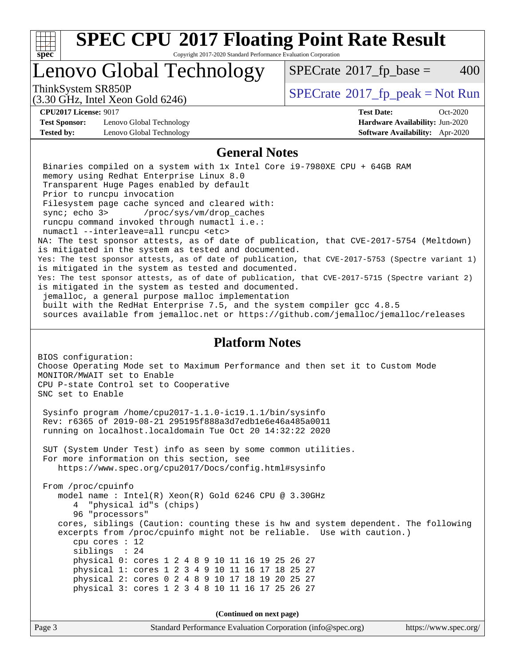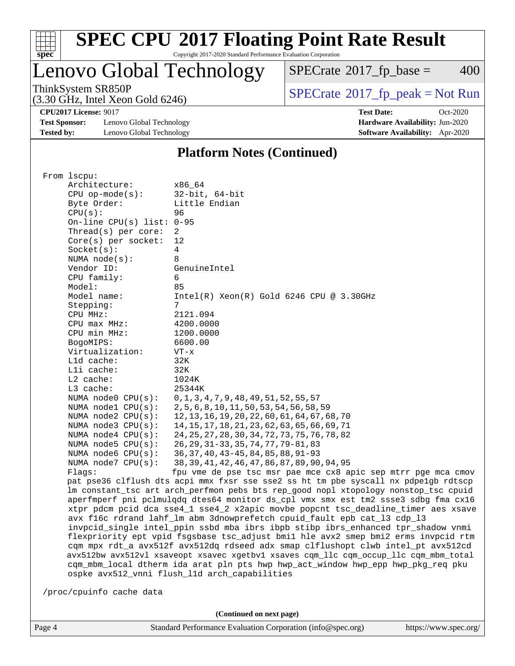

Copyright 2017-2020 Standard Performance Evaluation Corporation

# Lenovo Global Technology

 $SPECTate@2017_fp\_base = 400$ 

(3.30 GHz, Intel Xeon Gold 6246)

ThinkSystem SR850P<br>  $(3.30 \text{ GHz})$  Intel Yeon Gold 6246)<br>  $\boxed{\text{SPECrate}^{\circ}2017\_fp\_peak = Not Run}$  $\boxed{\text{SPECrate}^{\circ}2017\_fp\_peak = Not Run}$  $\boxed{\text{SPECrate}^{\circ}2017\_fp\_peak = Not Run}$ 

**[CPU2017 License:](http://www.spec.org/auto/cpu2017/Docs/result-fields.html#CPU2017License)** 9017 **[Test Date:](http://www.spec.org/auto/cpu2017/Docs/result-fields.html#TestDate)** Oct-2020

**[Test Sponsor:](http://www.spec.org/auto/cpu2017/Docs/result-fields.html#TestSponsor)** Lenovo Global Technology **[Hardware Availability:](http://www.spec.org/auto/cpu2017/Docs/result-fields.html#HardwareAvailability)** Jun-2020 **[Tested by:](http://www.spec.org/auto/cpu2017/Docs/result-fields.html#Testedby)** Lenovo Global Technology **[Software Availability:](http://www.spec.org/auto/cpu2017/Docs/result-fields.html#SoftwareAvailability)** Apr-2020

#### **[Platform Notes \(Continued\)](http://www.spec.org/auto/cpu2017/Docs/result-fields.html#PlatformNotes)**

| From 1scpu:                 |                                                                                      |
|-----------------------------|--------------------------------------------------------------------------------------|
| Architecture:               | x86 64                                                                               |
| $CPU$ op-mode( $s$ ):       | $32$ -bit, $64$ -bit                                                                 |
| Byte Order:                 | Little Endian                                                                        |
| CPU(s):                     | 96                                                                                   |
| On-line CPU(s) list: $0-95$ |                                                                                      |
| Thread( $s$ ) per core:     | 2                                                                                    |
| $Core(s)$ per socket:       | 12                                                                                   |
| Socket(s):                  | 4                                                                                    |
| NUMA $node(s):$             | 8                                                                                    |
| Vendor ID:                  | GenuineIntel                                                                         |
| CPU family:                 | 6                                                                                    |
| Model:                      | 85                                                                                   |
| Model name:                 | $Intel(R)$ Xeon $(R)$ Gold 6246 CPU @ 3.30GHz                                        |
| Stepping:                   | 7                                                                                    |
| CPU MHz:                    | 2121.094                                                                             |
| $CPU$ max $MHz$ :           | 4200.0000                                                                            |
|                             |                                                                                      |
| CPU min MHz:                | 1200.0000                                                                            |
| BogoMIPS:                   | 6600.00                                                                              |
| Virtualization:             | $VT - x$                                                                             |
| L1d cache:                  | 32K                                                                                  |
| Lli cache:                  | 32K                                                                                  |
| L2 cache:                   | 1024K                                                                                |
| L3 cache:                   | 25344K                                                                               |
| NUMA $node0$ $CPU(s):$      | $0, 1, 3, 4, 7, 9, 48, 49, 51, 52, 55, 57$                                           |
| NUMA $node1$ $CPU(s)$ :     | 2, 5, 6, 8, 10, 11, 50, 53, 54, 56, 58, 59                                           |
| NUMA $node2$ $CPU(s):$      | 12, 13, 16, 19, 20, 22, 60, 61, 64, 67, 68, 70                                       |
| NUMA node3 CPU(s):          | 14, 15, 17, 18, 21, 23, 62, 63, 65, 66, 69, 71                                       |
| NUMA $node4$ $CPU(s)$ :     | 24, 25, 27, 28, 30, 34, 72, 73, 75, 76, 78, 82                                       |
| NUMA $node5$ $CPU(s):$      | 26, 29, 31-33, 35, 74, 77, 79-81, 83                                                 |
| NUMA $node6$ $CPU(s):$      | 36, 37, 40, 43-45, 84, 85, 88, 91-93                                                 |
| NUMA $node7$ CPU $(s)$ :    | 38, 39, 41, 42, 46, 47, 86, 87, 89, 90, 94, 95                                       |
| Flaqs:                      | fpu vme de pse tsc msr pae mce cx8 apic sep mtrr pge mca cmov                        |
|                             | pat pse36 clflush dts acpi mmx fxsr sse sse2 ss ht tm pbe syscall nx pdpe1qb rdtscp  |
|                             | lm constant_tsc art arch_perfmon pebs bts rep_good nopl xtopology nonstop_tsc cpuid  |
|                             | aperfmperf pni pclmulqdq dtes64 monitor ds_cpl vmx smx est tm2 ssse3 sdbg fma cx16   |
|                             | xtpr pdcm pcid dca sse4_1 sse4_2 x2apic movbe popcnt tsc_deadline_timer aes xsave    |
|                             | avx f16c rdrand lahf_lm abm 3dnowprefetch cpuid_fault epb cat_13 cdp_13              |
|                             | invpcid_single intel_ppin ssbd mba ibrs ibpb stibp ibrs_enhanced tpr_shadow vnmi     |
|                             | flexpriority ept vpid fsgsbase tsc_adjust bmil hle avx2 smep bmi2 erms invpcid rtm   |
|                             | cqm mpx rdt_a avx512f avx512dq rdseed adx smap clflushopt clwb intel_pt avx512cd     |
|                             | avx512bw avx512vl xsaveopt xsavec xgetbvl xsaves cqm_llc cqm_occup_llc cqm_mbm_total |
|                             | cqm_mbm_local dtherm ida arat pln pts hwp hwp_act_window hwp_epp hwp_pkg_req pku     |
|                             | ospke avx512_vnni flush_l1d arch_capabilities                                        |
|                             |                                                                                      |
| /proc/cpuinfo cache data    |                                                                                      |
|                             |                                                                                      |

**(Continued on next page)**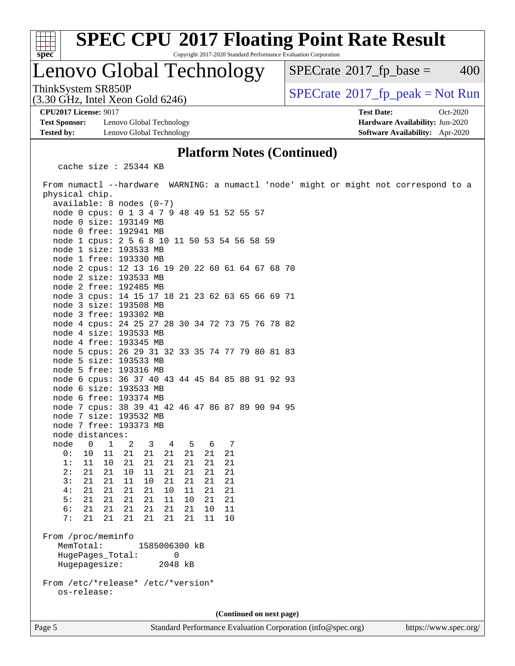

Copyright 2017-2020 Standard Performance Evaluation Corporation

### Lenovo Global Technology

 $SPECTate$ <sup>®</sup>[2017\\_fp\\_base =](http://www.spec.org/auto/cpu2017/Docs/result-fields.html#SPECrate2017fpbase) 400

(3.30 GHz, Intel Xeon Gold 6246)

ThinkSystem SR850P<br>(3.30 GHz, Intel Xeon Gold 6246) [SPECrate](http://www.spec.org/auto/cpu2017/Docs/result-fields.html#SPECrate2017fppeak)®[2017\\_fp\\_peak = N](http://www.spec.org/auto/cpu2017/Docs/result-fields.html#SPECrate2017fppeak)ot Run

**[CPU2017 License:](http://www.spec.org/auto/cpu2017/Docs/result-fields.html#CPU2017License)** 9017 **[Test Date:](http://www.spec.org/auto/cpu2017/Docs/result-fields.html#TestDate)** Oct-2020

**[Test Sponsor:](http://www.spec.org/auto/cpu2017/Docs/result-fields.html#TestSponsor)** Lenovo Global Technology **[Hardware Availability:](http://www.spec.org/auto/cpu2017/Docs/result-fields.html#HardwareAvailability)** Jun-2020 **[Tested by:](http://www.spec.org/auto/cpu2017/Docs/result-fields.html#Testedby)** Lenovo Global Technology **[Software Availability:](http://www.spec.org/auto/cpu2017/Docs/result-fields.html#SoftwareAvailability)** Apr-2020

#### **[Platform Notes \(Continued\)](http://www.spec.org/auto/cpu2017/Docs/result-fields.html#PlatformNotes)**

cache size : 25344 KB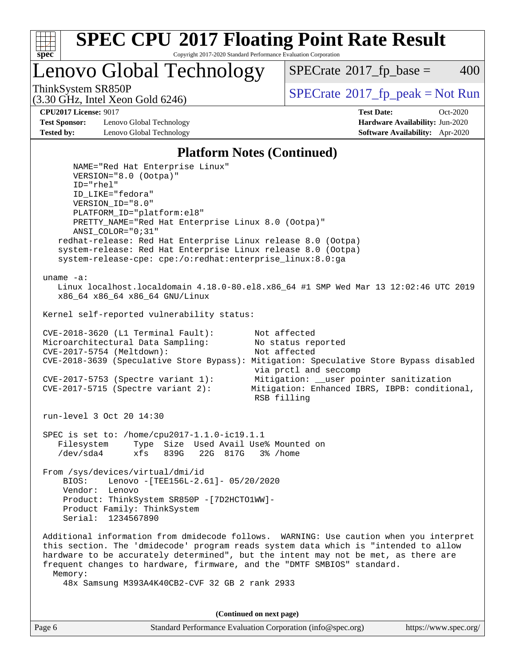

Lenovo Global Technology

 $SPECTate$ <sup>®</sup>[2017\\_fp\\_base =](http://www.spec.org/auto/cpu2017/Docs/result-fields.html#SPECrate2017fpbase) 400

(3.30 GHz, Intel Xeon Gold 6246)

ThinkSystem SR850P<br>  $SPECTI<sub>2</sub>120 CI<sub>2</sub>1215  
(2, 20 CI<sub>2</sub>1215  
(3, 20 CI<sub>2</sub>1215)$ 

**[Test Sponsor:](http://www.spec.org/auto/cpu2017/Docs/result-fields.html#TestSponsor)** Lenovo Global Technology **[Hardware Availability:](http://www.spec.org/auto/cpu2017/Docs/result-fields.html#HardwareAvailability)** Jun-2020 **[Tested by:](http://www.spec.org/auto/cpu2017/Docs/result-fields.html#Testedby)** Lenovo Global Technology **[Software Availability:](http://www.spec.org/auto/cpu2017/Docs/result-fields.html#SoftwareAvailability)** Apr-2020

**[CPU2017 License:](http://www.spec.org/auto/cpu2017/Docs/result-fields.html#CPU2017License)** 9017 **[Test Date:](http://www.spec.org/auto/cpu2017/Docs/result-fields.html#TestDate)** Oct-2020

#### **[Platform Notes \(Continued\)](http://www.spec.org/auto/cpu2017/Docs/result-fields.html#PlatformNotes)**

 NAME="Red Hat Enterprise Linux" VERSION="8.0 (Ootpa)" ID="rhel" ID\_LIKE="fedora" VERSION\_ID="8.0" PLATFORM\_ID="platform:el8" PRETTY\_NAME="Red Hat Enterprise Linux 8.0 (Ootpa)" ANSI\_COLOR="0;31" redhat-release: Red Hat Enterprise Linux release 8.0 (Ootpa) system-release: Red Hat Enterprise Linux release 8.0 (Ootpa) system-release-cpe: cpe:/o:redhat:enterprise\_linux:8.0:ga uname -a: Linux localhost.localdomain 4.18.0-80.el8.x86\_64 #1 SMP Wed Mar 13 12:02:46 UTC 2019 x86\_64 x86\_64 x86\_64 GNU/Linux Kernel self-reported vulnerability status: CVE-2018-3620 (L1 Terminal Fault): Not affected<br>Microarchitectural Data Sampling: No status reported Microarchitectural Data Sampling: CVE-2017-5754 (Meltdown): Not affected CVE-2018-3639 (Speculative Store Bypass): Mitigation: Speculative Store Bypass disabled via prctl and seccomp CVE-2017-5753 (Spectre variant 1): Mitigation: \_\_user pointer sanitization CVE-2017-5715 (Spectre variant 2): Mitigation: Enhanced IBRS, IBPB: conditional, RSB filling run-level 3 Oct 20 14:30 SPEC is set to: /home/cpu2017-1.1.0-ic19.1.1 Filesystem Type Size Used Avail Use% Mounted on /dev/sda4 xfs 839G 22G 817G 3% /home From /sys/devices/virtual/dmi/id BIOS: Lenovo -[TEE156L-2.61]- 05/20/2020 Vendor: Lenovo Product: ThinkSystem SR850P -[7D2HCTO1WW]- Product Family: ThinkSystem Serial: 1234567890 Additional information from dmidecode follows. WARNING: Use caution when you interpret this section. The 'dmidecode' program reads system data which is "intended to allow hardware to be accurately determined", but the intent may not be met, as there are frequent changes to hardware, firmware, and the "DMTF SMBIOS" standard. Memory: 48x Samsung M393A4K40CB2-CVF 32 GB 2 rank 2933

**(Continued on next page)**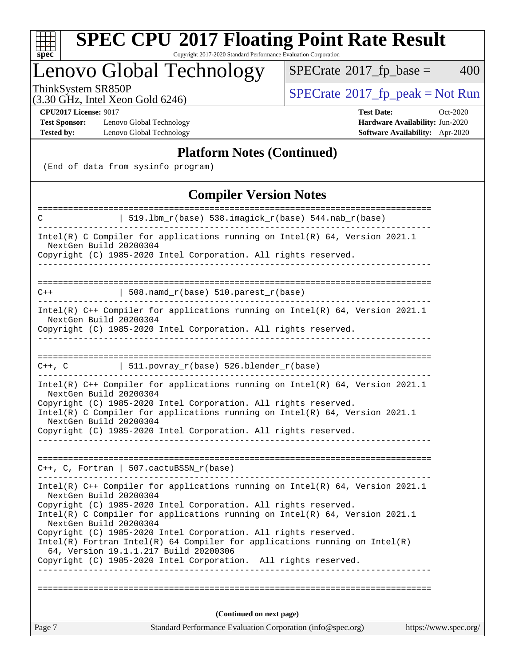

Copyright 2017-2020 Standard Performance Evaluation Corporation

### Lenovo Global Technology

 $SPECTate@2017_fp\_base = 400$ 

(3.30 GHz, Intel Xeon Gold 6246)

ThinkSystem SR850P<br>  $(3.30 \text{ GHz})$  Intel Yeon Gold 6246)<br>  $\boxed{\text{SPECrate}^{\circ}2017\_fp\_peak = Not Run}$  $\boxed{\text{SPECrate}^{\circ}2017\_fp\_peak = Not Run}$  $\boxed{\text{SPECrate}^{\circ}2017\_fp\_peak = Not Run}$ 

**[Test Sponsor:](http://www.spec.org/auto/cpu2017/Docs/result-fields.html#TestSponsor)** Lenovo Global Technology **[Hardware Availability:](http://www.spec.org/auto/cpu2017/Docs/result-fields.html#HardwareAvailability)** Jun-2020 **[Tested by:](http://www.spec.org/auto/cpu2017/Docs/result-fields.html#Testedby)** Lenovo Global Technology **[Software Availability:](http://www.spec.org/auto/cpu2017/Docs/result-fields.html#SoftwareAvailability)** Apr-2020

**[CPU2017 License:](http://www.spec.org/auto/cpu2017/Docs/result-fields.html#CPU2017License)** 9017 **[Test Date:](http://www.spec.org/auto/cpu2017/Docs/result-fields.html#TestDate)** Oct-2020

#### **[Platform Notes \(Continued\)](http://www.spec.org/auto/cpu2017/Docs/result-fields.html#PlatformNotes)**

(End of data from sysinfo program)

### **[Compiler Version Notes](http://www.spec.org/auto/cpu2017/Docs/result-fields.html#CompilerVersionNotes)**

| ====================                             | =============<br>======================                                                                                                                                                                                                                                                                                                                                                                                                                                                          |                       |  |  |
|--------------------------------------------------|--------------------------------------------------------------------------------------------------------------------------------------------------------------------------------------------------------------------------------------------------------------------------------------------------------------------------------------------------------------------------------------------------------------------------------------------------------------------------------------------------|-----------------------|--|--|
| C                                                | 519.1bm_r(base) 538.imagick_r(base) 544.nab_r(base)                                                                                                                                                                                                                                                                                                                                                                                                                                              |                       |  |  |
| NextGen Build 20200304                           | Intel(R) C Compiler for applications running on $Intel(R) 64$ , Version 2021.1<br>Copyright (C) 1985-2020 Intel Corporation. All rights reserved.                                                                                                                                                                                                                                                                                                                                                |                       |  |  |
|                                                  |                                                                                                                                                                                                                                                                                                                                                                                                                                                                                                  |                       |  |  |
|                                                  |                                                                                                                                                                                                                                                                                                                                                                                                                                                                                                  |                       |  |  |
| $C++$                                            | $508.namd_r(base) 510.parest_r(base)$                                                                                                                                                                                                                                                                                                                                                                                                                                                            |                       |  |  |
| NextGen Build 20200304                           | Intel(R) $C++$ Compiler for applications running on Intel(R) 64, Version 2021.1<br>Copyright (C) 1985-2020 Intel Corporation. All rights reserved.                                                                                                                                                                                                                                                                                                                                               |                       |  |  |
| $C++$ , $C$                                      | 511.povray_r(base) 526.blender_r(base)                                                                                                                                                                                                                                                                                                                                                                                                                                                           |                       |  |  |
| NextGen Build 20200304<br>NextGen Build 20200304 | Intel(R) C++ Compiler for applications running on Intel(R) $64$ , Version 2021.1<br>Copyright (C) 1985-2020 Intel Corporation. All rights reserved.<br>Intel(R) C Compiler for applications running on Intel(R) 64, Version 2021.1<br>Copyright (C) 1985-2020 Intel Corporation. All rights reserved.                                                                                                                                                                                            |                       |  |  |
|                                                  | $C_{++}$ , C, Fortran   507.cactuBSSN $r(base)$                                                                                                                                                                                                                                                                                                                                                                                                                                                  |                       |  |  |
| NextGen Build 20200304<br>NextGen Build 20200304 | Intel(R) $C++$ Compiler for applications running on Intel(R) 64, Version 2021.1<br>Copyright (C) 1985-2020 Intel Corporation. All rights reserved.<br>Intel(R) C Compiler for applications running on Intel(R) 64, Version 2021.1<br>Copyright (C) 1985-2020 Intel Corporation. All rights reserved.<br>$Intel(R)$ Fortran Intel(R) 64 Compiler for applications running on Intel(R)<br>64, Version 19.1.1.217 Build 20200306<br>Copyright (C) 1985-2020 Intel Corporation. All rights reserved. |                       |  |  |
|                                                  |                                                                                                                                                                                                                                                                                                                                                                                                                                                                                                  |                       |  |  |
| (Continued on next page)                         |                                                                                                                                                                                                                                                                                                                                                                                                                                                                                                  |                       |  |  |
| Page 7                                           | Standard Performance Evaluation Corporation (info@spec.org)                                                                                                                                                                                                                                                                                                                                                                                                                                      | https://www.spec.org/ |  |  |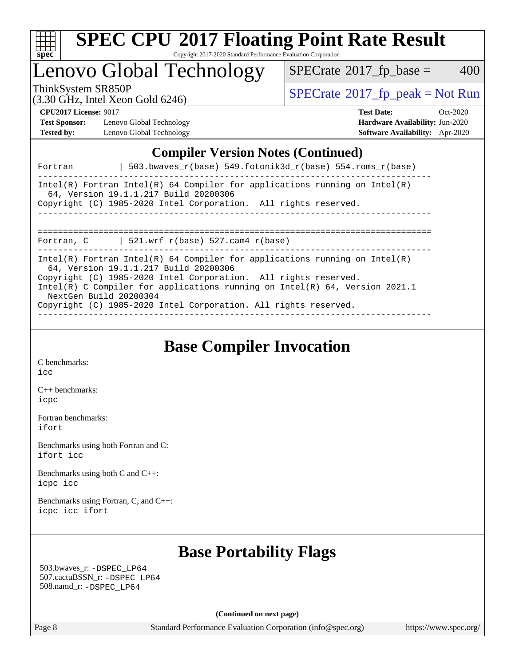

## Lenovo Global Technology

 $SPECTate@2017_fp\_base = 400$ 

(3.30 GHz, Intel Xeon Gold 6246)

ThinkSystem SR850P<br>  $(3.30 \text{ GHz}_{\text{1.1}})$  [SPECrate](http://www.spec.org/auto/cpu2017/Docs/result-fields.html#SPECrate2017fppeak)®[2017\\_fp\\_peak = N](http://www.spec.org/auto/cpu2017/Docs/result-fields.html#SPECrate2017fppeak)ot Run

**[Test Sponsor:](http://www.spec.org/auto/cpu2017/Docs/result-fields.html#TestSponsor)** Lenovo Global Technology **[Hardware Availability:](http://www.spec.org/auto/cpu2017/Docs/result-fields.html#HardwareAvailability)** Jun-2020 **[Tested by:](http://www.spec.org/auto/cpu2017/Docs/result-fields.html#Testedby)** Lenovo Global Technology **[Software Availability:](http://www.spec.org/auto/cpu2017/Docs/result-fields.html#SoftwareAvailability)** Apr-2020

**[CPU2017 License:](http://www.spec.org/auto/cpu2017/Docs/result-fields.html#CPU2017License)** 9017 **[Test Date:](http://www.spec.org/auto/cpu2017/Docs/result-fields.html#TestDate)** Oct-2020

### **[Compiler Version Notes \(Continued\)](http://www.spec.org/auto/cpu2017/Docs/result-fields.html#CompilerVersionNotes)**

| $503.bwaves_r(base) 549.fotonik3d_r(base) 554.roms_r(base)$<br>Fortran                                                                                                                                                                                                                                                                                                |
|-----------------------------------------------------------------------------------------------------------------------------------------------------------------------------------------------------------------------------------------------------------------------------------------------------------------------------------------------------------------------|
| Intel(R) Fortran Intel(R) 64 Compiler for applications running on Intel(R)<br>64, Version 19.1.1.217 Build 20200306<br>Copyright (C) 1985-2020 Intel Corporation. All rights reserved.<br>_____________________________________                                                                                                                                       |
| Fortran, C $\vert$ 521.wrf r(base) 527.cam4 r(base)                                                                                                                                                                                                                                                                                                                   |
| Intel(R) Fortran Intel(R) 64 Compiler for applications running on Intel(R)<br>64, Version 19.1.1.217 Build 20200306<br>Copyright (C) 1985-2020 Intel Corporation. All rights reserved.<br>Intel(R) C Compiler for applications running on Intel(R) $64$ , Version 2021.1<br>NextGen Build 20200304<br>Copyright (C) 1985-2020 Intel Corporation. All rights reserved. |

### **[Base Compiler Invocation](http://www.spec.org/auto/cpu2017/Docs/result-fields.html#BaseCompilerInvocation)**

[C benchmarks](http://www.spec.org/auto/cpu2017/Docs/result-fields.html#Cbenchmarks): [icc](http://www.spec.org/cpu2017/results/res2020q4/cpu2017-20201026-24294.flags.html#user_CCbase_intel_icc_66fc1ee009f7361af1fbd72ca7dcefbb700085f36577c54f309893dd4ec40d12360134090235512931783d35fd58c0460139e722d5067c5574d8eaf2b3e37e92)

[C++ benchmarks:](http://www.spec.org/auto/cpu2017/Docs/result-fields.html#CXXbenchmarks) [icpc](http://www.spec.org/cpu2017/results/res2020q4/cpu2017-20201026-24294.flags.html#user_CXXbase_intel_icpc_c510b6838c7f56d33e37e94d029a35b4a7bccf4766a728ee175e80a419847e808290a9b78be685c44ab727ea267ec2f070ec5dc83b407c0218cded6866a35d07)

[Fortran benchmarks](http://www.spec.org/auto/cpu2017/Docs/result-fields.html#Fortranbenchmarks): [ifort](http://www.spec.org/cpu2017/results/res2020q4/cpu2017-20201026-24294.flags.html#user_FCbase_intel_ifort_8111460550e3ca792625aed983ce982f94888b8b503583aa7ba2b8303487b4d8a21a13e7191a45c5fd58ff318f48f9492884d4413fa793fd88dd292cad7027ca)

[Benchmarks using both Fortran and C](http://www.spec.org/auto/cpu2017/Docs/result-fields.html#BenchmarksusingbothFortranandC): [ifort](http://www.spec.org/cpu2017/results/res2020q4/cpu2017-20201026-24294.flags.html#user_CC_FCbase_intel_ifort_8111460550e3ca792625aed983ce982f94888b8b503583aa7ba2b8303487b4d8a21a13e7191a45c5fd58ff318f48f9492884d4413fa793fd88dd292cad7027ca) [icc](http://www.spec.org/cpu2017/results/res2020q4/cpu2017-20201026-24294.flags.html#user_CC_FCbase_intel_icc_66fc1ee009f7361af1fbd72ca7dcefbb700085f36577c54f309893dd4ec40d12360134090235512931783d35fd58c0460139e722d5067c5574d8eaf2b3e37e92)

[Benchmarks using both C and C++](http://www.spec.org/auto/cpu2017/Docs/result-fields.html#BenchmarksusingbothCandCXX): [icpc](http://www.spec.org/cpu2017/results/res2020q4/cpu2017-20201026-24294.flags.html#user_CC_CXXbase_intel_icpc_c510b6838c7f56d33e37e94d029a35b4a7bccf4766a728ee175e80a419847e808290a9b78be685c44ab727ea267ec2f070ec5dc83b407c0218cded6866a35d07) [icc](http://www.spec.org/cpu2017/results/res2020q4/cpu2017-20201026-24294.flags.html#user_CC_CXXbase_intel_icc_66fc1ee009f7361af1fbd72ca7dcefbb700085f36577c54f309893dd4ec40d12360134090235512931783d35fd58c0460139e722d5067c5574d8eaf2b3e37e92)

[Benchmarks using Fortran, C, and C++:](http://www.spec.org/auto/cpu2017/Docs/result-fields.html#BenchmarksusingFortranCandCXX) [icpc](http://www.spec.org/cpu2017/results/res2020q4/cpu2017-20201026-24294.flags.html#user_CC_CXX_FCbase_intel_icpc_c510b6838c7f56d33e37e94d029a35b4a7bccf4766a728ee175e80a419847e808290a9b78be685c44ab727ea267ec2f070ec5dc83b407c0218cded6866a35d07) [icc](http://www.spec.org/cpu2017/results/res2020q4/cpu2017-20201026-24294.flags.html#user_CC_CXX_FCbase_intel_icc_66fc1ee009f7361af1fbd72ca7dcefbb700085f36577c54f309893dd4ec40d12360134090235512931783d35fd58c0460139e722d5067c5574d8eaf2b3e37e92) [ifort](http://www.spec.org/cpu2017/results/res2020q4/cpu2017-20201026-24294.flags.html#user_CC_CXX_FCbase_intel_ifort_8111460550e3ca792625aed983ce982f94888b8b503583aa7ba2b8303487b4d8a21a13e7191a45c5fd58ff318f48f9492884d4413fa793fd88dd292cad7027ca)

### **[Base Portability Flags](http://www.spec.org/auto/cpu2017/Docs/result-fields.html#BasePortabilityFlags)**

 503.bwaves\_r: [-DSPEC\\_LP64](http://www.spec.org/cpu2017/results/res2020q4/cpu2017-20201026-24294.flags.html#suite_basePORTABILITY503_bwaves_r_DSPEC_LP64) 507.cactuBSSN\_r: [-DSPEC\\_LP64](http://www.spec.org/cpu2017/results/res2020q4/cpu2017-20201026-24294.flags.html#suite_basePORTABILITY507_cactuBSSN_r_DSPEC_LP64) 508.namd\_r: [-DSPEC\\_LP64](http://www.spec.org/cpu2017/results/res2020q4/cpu2017-20201026-24294.flags.html#suite_basePORTABILITY508_namd_r_DSPEC_LP64)

**(Continued on next page)**

Page 8 Standard Performance Evaluation Corporation [\(info@spec.org\)](mailto:info@spec.org) <https://www.spec.org/>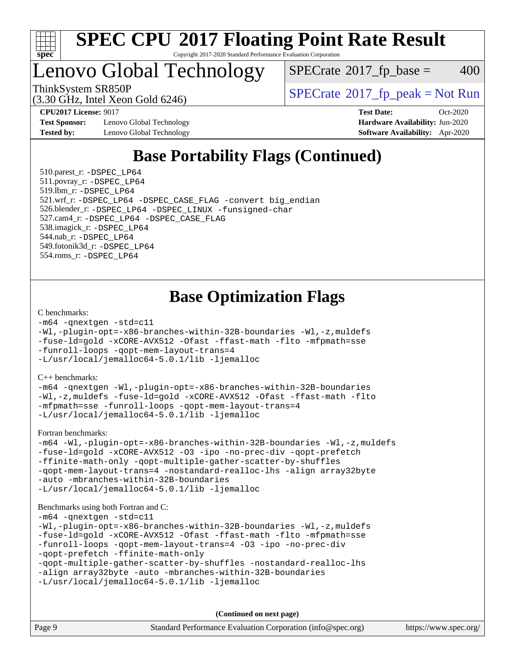

### Lenovo Global Technology

 $SPECTate$ <sup>®</sup>[2017\\_fp\\_base =](http://www.spec.org/auto/cpu2017/Docs/result-fields.html#SPECrate2017fpbase) 400

(3.30 GHz, Intel Xeon Gold 6246)

ThinkSystem SR850P<br>  $SPECTI<sub>2</sub>120 CI<sub>2</sub>1215  
(2, 20 CI<sub>2</sub>15)$ 

**[Test Sponsor:](http://www.spec.org/auto/cpu2017/Docs/result-fields.html#TestSponsor)** Lenovo Global Technology **[Hardware Availability:](http://www.spec.org/auto/cpu2017/Docs/result-fields.html#HardwareAvailability)** Jun-2020 **[Tested by:](http://www.spec.org/auto/cpu2017/Docs/result-fields.html#Testedby)** Lenovo Global Technology **[Software Availability:](http://www.spec.org/auto/cpu2017/Docs/result-fields.html#SoftwareAvailability)** Apr-2020

**[CPU2017 License:](http://www.spec.org/auto/cpu2017/Docs/result-fields.html#CPU2017License)** 9017 **[Test Date:](http://www.spec.org/auto/cpu2017/Docs/result-fields.html#TestDate)** Oct-2020

### **[Base Portability Flags \(Continued\)](http://www.spec.org/auto/cpu2017/Docs/result-fields.html#BasePortabilityFlags)**

 510.parest\_r: [-DSPEC\\_LP64](http://www.spec.org/cpu2017/results/res2020q4/cpu2017-20201026-24294.flags.html#suite_basePORTABILITY510_parest_r_DSPEC_LP64) 511.povray\_r: [-DSPEC\\_LP64](http://www.spec.org/cpu2017/results/res2020q4/cpu2017-20201026-24294.flags.html#suite_basePORTABILITY511_povray_r_DSPEC_LP64) 519.lbm\_r: [-DSPEC\\_LP64](http://www.spec.org/cpu2017/results/res2020q4/cpu2017-20201026-24294.flags.html#suite_basePORTABILITY519_lbm_r_DSPEC_LP64) 521.wrf\_r: [-DSPEC\\_LP64](http://www.spec.org/cpu2017/results/res2020q4/cpu2017-20201026-24294.flags.html#suite_basePORTABILITY521_wrf_r_DSPEC_LP64) [-DSPEC\\_CASE\\_FLAG](http://www.spec.org/cpu2017/results/res2020q4/cpu2017-20201026-24294.flags.html#b521.wrf_r_baseCPORTABILITY_DSPEC_CASE_FLAG) [-convert big\\_endian](http://www.spec.org/cpu2017/results/res2020q4/cpu2017-20201026-24294.flags.html#user_baseFPORTABILITY521_wrf_r_convert_big_endian_c3194028bc08c63ac5d04de18c48ce6d347e4e562e8892b8bdbdc0214820426deb8554edfa529a3fb25a586e65a3d812c835984020483e7e73212c4d31a38223) 526.blender\_r: [-DSPEC\\_LP64](http://www.spec.org/cpu2017/results/res2020q4/cpu2017-20201026-24294.flags.html#suite_basePORTABILITY526_blender_r_DSPEC_LP64) [-DSPEC\\_LINUX](http://www.spec.org/cpu2017/results/res2020q4/cpu2017-20201026-24294.flags.html#b526.blender_r_baseCPORTABILITY_DSPEC_LINUX) [-funsigned-char](http://www.spec.org/cpu2017/results/res2020q4/cpu2017-20201026-24294.flags.html#user_baseCPORTABILITY526_blender_r_force_uchar_40c60f00ab013830e2dd6774aeded3ff59883ba5a1fc5fc14077f794d777847726e2a5858cbc7672e36e1b067e7e5c1d9a74f7176df07886a243d7cc18edfe67) 527.cam4\_r: [-DSPEC\\_LP64](http://www.spec.org/cpu2017/results/res2020q4/cpu2017-20201026-24294.flags.html#suite_basePORTABILITY527_cam4_r_DSPEC_LP64) [-DSPEC\\_CASE\\_FLAG](http://www.spec.org/cpu2017/results/res2020q4/cpu2017-20201026-24294.flags.html#b527.cam4_r_baseCPORTABILITY_DSPEC_CASE_FLAG) 538.imagick\_r: [-DSPEC\\_LP64](http://www.spec.org/cpu2017/results/res2020q4/cpu2017-20201026-24294.flags.html#suite_basePORTABILITY538_imagick_r_DSPEC_LP64) 544.nab\_r: [-DSPEC\\_LP64](http://www.spec.org/cpu2017/results/res2020q4/cpu2017-20201026-24294.flags.html#suite_basePORTABILITY544_nab_r_DSPEC_LP64) 549.fotonik3d\_r: [-DSPEC\\_LP64](http://www.spec.org/cpu2017/results/res2020q4/cpu2017-20201026-24294.flags.html#suite_basePORTABILITY549_fotonik3d_r_DSPEC_LP64) 554.roms\_r: [-DSPEC\\_LP64](http://www.spec.org/cpu2017/results/res2020q4/cpu2017-20201026-24294.flags.html#suite_basePORTABILITY554_roms_r_DSPEC_LP64)

### **[Base Optimization Flags](http://www.spec.org/auto/cpu2017/Docs/result-fields.html#BaseOptimizationFlags)**

#### [C benchmarks](http://www.spec.org/auto/cpu2017/Docs/result-fields.html#Cbenchmarks):

```
-m64 -qnextgen -std=c11
-Wl,-plugin-opt=-x86-branches-within-32B-boundaries -Wl,-z,muldefs
-fuse-ld=gold -xCORE-AVX512 -Ofast -ffast-math -flto -mfpmath=sse
-funroll-loops -qopt-mem-layout-trans=4
-L/usr/local/jemalloc64-5.0.1/lib -ljemalloc
```
[C++ benchmarks:](http://www.spec.org/auto/cpu2017/Docs/result-fields.html#CXXbenchmarks)

[-m64](http://www.spec.org/cpu2017/results/res2020q4/cpu2017-20201026-24294.flags.html#user_CXXbase_m64-icc) [-qnextgen](http://www.spec.org/cpu2017/results/res2020q4/cpu2017-20201026-24294.flags.html#user_CXXbase_f-qnextgen) [-Wl,-plugin-opt=-x86-branches-within-32B-boundaries](http://www.spec.org/cpu2017/results/res2020q4/cpu2017-20201026-24294.flags.html#user_CXXbase_f-x86-branches-within-32B-boundaries_0098b4e4317ae60947b7b728078a624952a08ac37a3c797dfb4ffeb399e0c61a9dd0f2f44ce917e9361fb9076ccb15e7824594512dd315205382d84209e912f3) [-Wl,-z,muldefs](http://www.spec.org/cpu2017/results/res2020q4/cpu2017-20201026-24294.flags.html#user_CXXbase_link_force_multiple1_b4cbdb97b34bdee9ceefcfe54f4c8ea74255f0b02a4b23e853cdb0e18eb4525ac79b5a88067c842dd0ee6996c24547a27a4b99331201badda8798ef8a743f577) [-fuse-ld=gold](http://www.spec.org/cpu2017/results/res2020q4/cpu2017-20201026-24294.flags.html#user_CXXbase_f-fuse-ld_920b3586e2b8c6e0748b9c84fa9b744736ba725a32cab14ad8f3d4ad28eecb2f59d1144823d2e17006539a88734fe1fc08fc3035f7676166309105a78aaabc32) [-xCORE-AVX512](http://www.spec.org/cpu2017/results/res2020q4/cpu2017-20201026-24294.flags.html#user_CXXbase_f-xCORE-AVX512) [-Ofast](http://www.spec.org/cpu2017/results/res2020q4/cpu2017-20201026-24294.flags.html#user_CXXbase_f-Ofast) [-ffast-math](http://www.spec.org/cpu2017/results/res2020q4/cpu2017-20201026-24294.flags.html#user_CXXbase_f-ffast-math) [-flto](http://www.spec.org/cpu2017/results/res2020q4/cpu2017-20201026-24294.flags.html#user_CXXbase_f-flto) [-mfpmath=sse](http://www.spec.org/cpu2017/results/res2020q4/cpu2017-20201026-24294.flags.html#user_CXXbase_f-mfpmath_70eb8fac26bde974f8ab713bc9086c5621c0b8d2f6c86f38af0bd7062540daf19db5f3a066d8c6684be05d84c9b6322eb3b5be6619d967835195b93d6c02afa1) [-funroll-loops](http://www.spec.org/cpu2017/results/res2020q4/cpu2017-20201026-24294.flags.html#user_CXXbase_f-funroll-loops) [-qopt-mem-layout-trans=4](http://www.spec.org/cpu2017/results/res2020q4/cpu2017-20201026-24294.flags.html#user_CXXbase_f-qopt-mem-layout-trans_fa39e755916c150a61361b7846f310bcdf6f04e385ef281cadf3647acec3f0ae266d1a1d22d972a7087a248fd4e6ca390a3634700869573d231a252c784941a8) [-L/usr/local/jemalloc64-5.0.1/lib](http://www.spec.org/cpu2017/results/res2020q4/cpu2017-20201026-24294.flags.html#user_CXXbase_jemalloc_link_path64_1_cc289568b1a6c0fd3b62c91b824c27fcb5af5e8098e6ad028160d21144ef1b8aef3170d2acf0bee98a8da324cfe4f67d0a3d0c4cc4673d993d694dc2a0df248b) [-ljemalloc](http://www.spec.org/cpu2017/results/res2020q4/cpu2017-20201026-24294.flags.html#user_CXXbase_jemalloc_link_lib_d1249b907c500fa1c0672f44f562e3d0f79738ae9e3c4a9c376d49f265a04b9c99b167ecedbf6711b3085be911c67ff61f150a17b3472be731631ba4d0471706)

[Fortran benchmarks](http://www.spec.org/auto/cpu2017/Docs/result-fields.html#Fortranbenchmarks):

```
-m64 -Wl,-plugin-opt=-x86-branches-within-32B-boundaries -Wl,-z,muldefs
-fuse-ld=gold -xCORE-AVX512 -O3 -ipo -no-prec-div -qopt-prefetch
-ffinite-math-only -qopt-multiple-gather-scatter-by-shuffles
-qopt-mem-layout-trans=4 -nostandard-realloc-lhs -align array32byte
-auto -mbranches-within-32B-boundaries
-L/usr/local/jemalloc64-5.0.1/lib -ljemalloc
```
#### [Benchmarks using both Fortran and C](http://www.spec.org/auto/cpu2017/Docs/result-fields.html#BenchmarksusingbothFortranandC):

```
-m64 -qnextgen -std=c11
-Wl,-plugin-opt=-x86-branches-within-32B-boundaries -Wl,-z,muldefs
-fuse-ld=gold -xCORE-AVX512 -Ofast -ffast-math -flto -mfpmath=sse
-funroll-loops -qopt-mem-layout-trans=4 -O3 -ipo -no-prec-div
-qopt-prefetch -ffinite-math-only
-qopt-multiple-gather-scatter-by-shuffles -nostandard-realloc-lhs
-align array32byte -auto -mbranches-within-32B-boundaries
-L/usr/local/jemalloc64-5.0.1/lib -ljemalloc
```
**(Continued on next page)**

|  | Page 9 | Standard Performance Evaluation Corporation (info@spec.org) | https://www.spec.org/ |
|--|--------|-------------------------------------------------------------|-----------------------|
|--|--------|-------------------------------------------------------------|-----------------------|